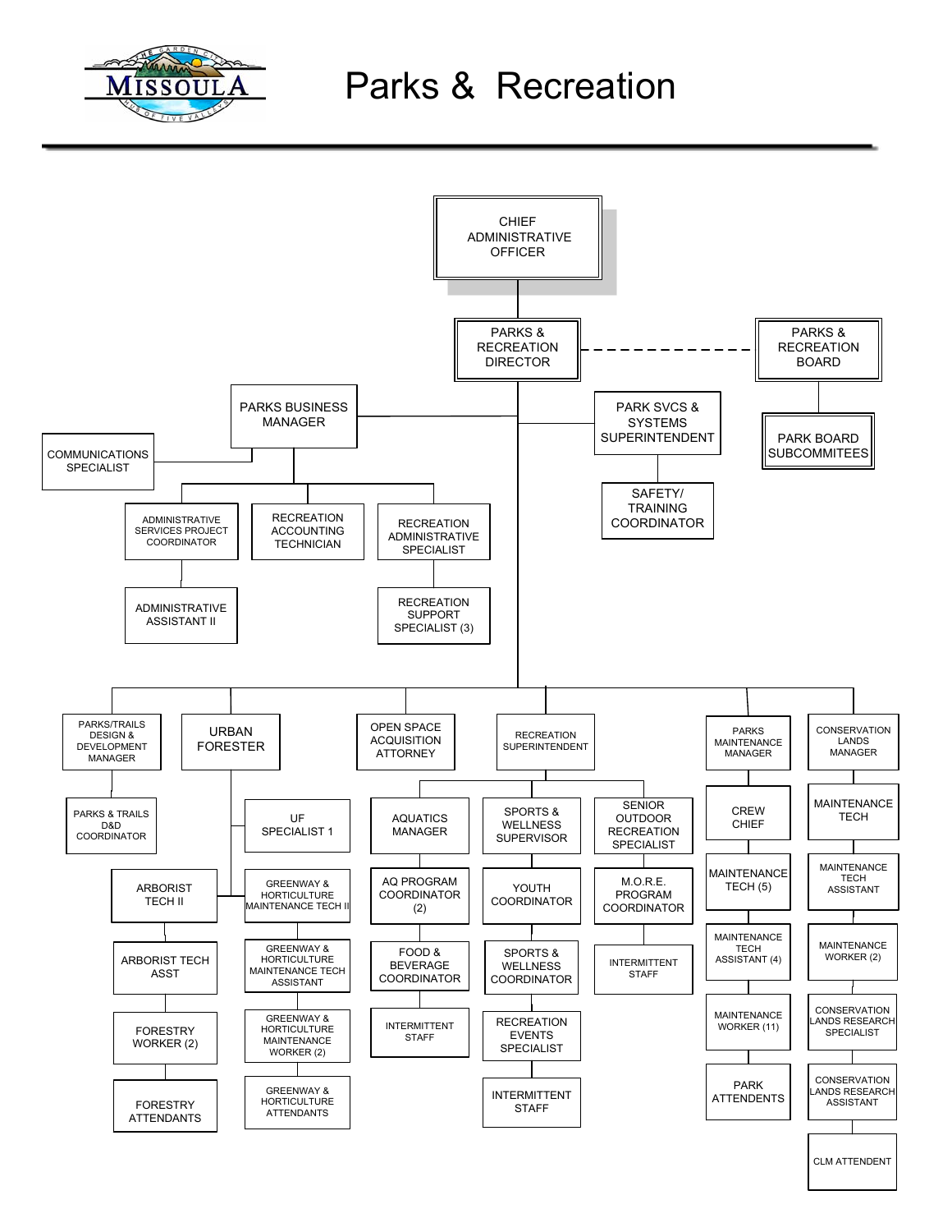

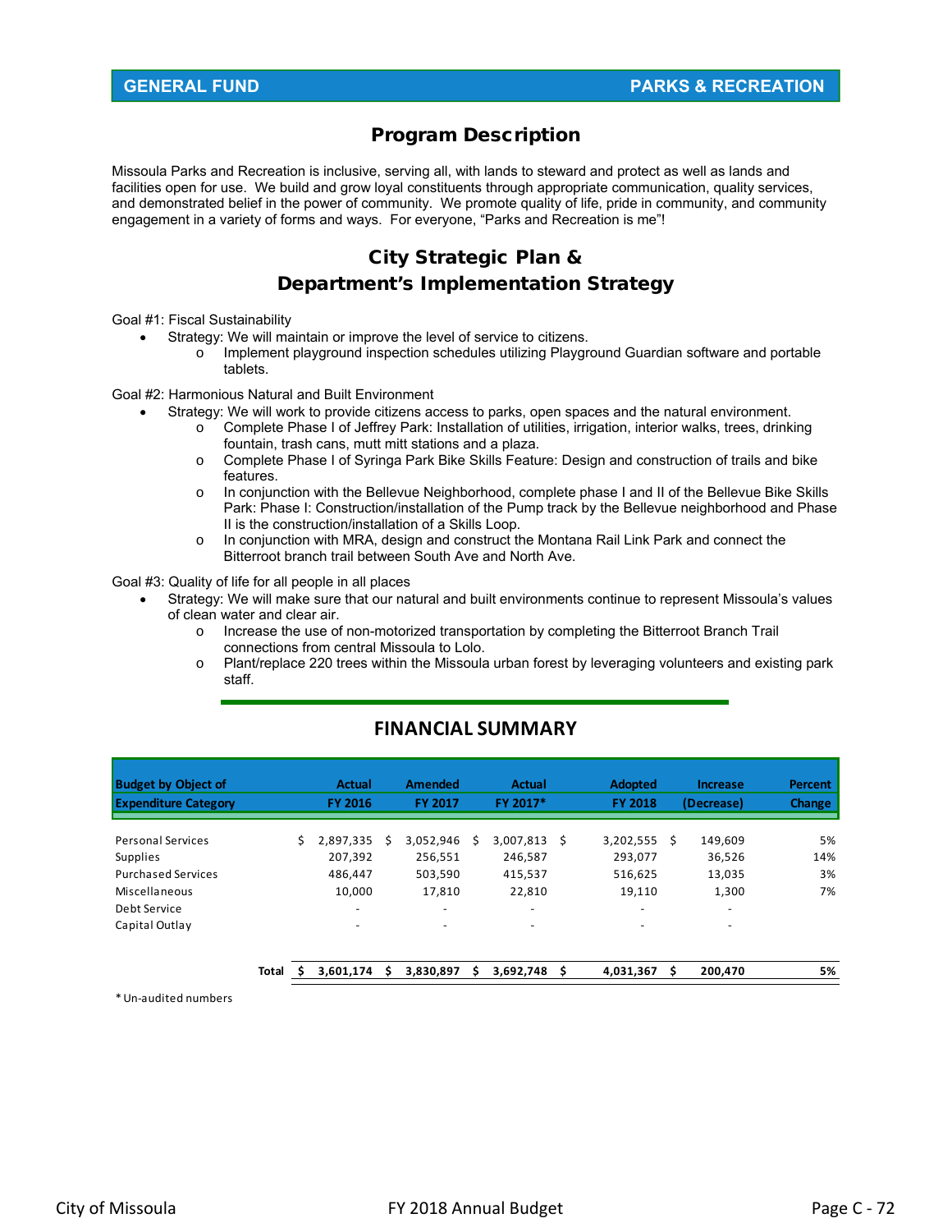# Program Description

Missoula Parks and Recreation is inclusive, serving all, with lands to steward and protect as well as lands and facilities open for use. We build and grow loyal constituents through appropriate communication, quality services, and demonstrated belief in the power of community. We promote quality of life, pride in community, and community engagement in a variety of forms and ways. For everyone, "Parks and Recreation is me"!

# City Strategic Plan &

# Department's Implementation Strategy

Goal #1: Fiscal Sustainability

- Strategy: We will maintain or improve the level of service to citizens.
	- o Implement playground inspection schedules utilizing Playground Guardian software and portable tablets.

Goal #2: Harmonious Natural and Built Environment

- Strategy: We will work to provide citizens access to parks, open spaces and the natural environment.
	- o Complete Phase I of Jeffrey Park: Installation of utilities, irrigation, interior walks, trees, drinking fountain, trash cans, mutt mitt stations and a plaza.
	- o Complete Phase I of Syringa Park Bike Skills Feature: Design and construction of trails and bike features.
	- o In conjunction with the Bellevue Neighborhood, complete phase I and II of the Bellevue Bike Skills Park: Phase I: Construction/installation of the Pump track by the Bellevue neighborhood and Phase II is the construction/installation of a Skills Loop.
	- o In conjunction with MRA, design and construct the Montana Rail Link Park and connect the Bitterroot branch trail between South Ave and North Ave.

Goal #3: Quality of life for all people in all places

- Strategy: We will make sure that our natural and built environments continue to represent Missoula's values of clean water and clear air.
	- o Increase the use of non-motorized transportation by completing the Bitterroot Branch Trail connections from central Missoula to Lolo.
	- $\circ$  Plant/replace 220 trees within the Missoula urban forest by leveraging volunteers and existing park staff.

| <b>Budget by Object of</b>  |       |   | <b>Actual</b>            |   | <b>Amended</b>           |   | Actual    |    | <b>Adopted</b>           |    | <b>Increase</b>          | <b>Percent</b> |
|-----------------------------|-------|---|--------------------------|---|--------------------------|---|-----------|----|--------------------------|----|--------------------------|----------------|
| <b>Expenditure Category</b> |       |   | <b>FY 2016</b>           |   | <b>FY 2017</b>           |   | FY 2017*  |    | <b>FY 2018</b>           |    | (Decrease)               | <b>Change</b>  |
| <b>Personal Services</b>    |       | Ś | 2,897,335                | S | 3.052.946                | S | 3,007,813 | Ŝ  | 3,202,555                | S. | 149.609                  | 5%             |
| Supplies                    |       |   | 207,392                  |   | 256,551                  |   | 246,587   |    | 293,077                  |    | 36,526                   | 14%            |
| <b>Purchased Services</b>   |       |   | 486,447                  |   | 503,590                  |   | 415,537   |    | 516,625                  |    | 13,035                   | 3%             |
| Miscellaneous               |       |   | 10.000                   |   | 17.810                   |   | 22,810    |    | 19.110                   |    | 1,300                    | 7%             |
| Debt Service                |       |   | $\overline{\phantom{0}}$ |   | $\overline{\phantom{0}}$ |   |           |    | $\overline{\phantom{a}}$ |    | $\overline{\phantom{m}}$ |                |
| Capital Outlay              |       |   | $\overline{\phantom{0}}$ |   | $\overline{\phantom{0}}$ |   | $\sim$    |    | $\overline{\phantom{a}}$ |    | $\overline{\phantom{0}}$ |                |
|                             |       |   |                          |   |                          |   |           |    |                          |    |                          |                |
|                             | Total | s | 3,601,174                | s | 3,830,897                | s | 3,692,748 | S. | 4,031,367                | S  | 200,470                  | 5%             |

# **FINANCIAL SUMMARY**

\*Un‐audited numbers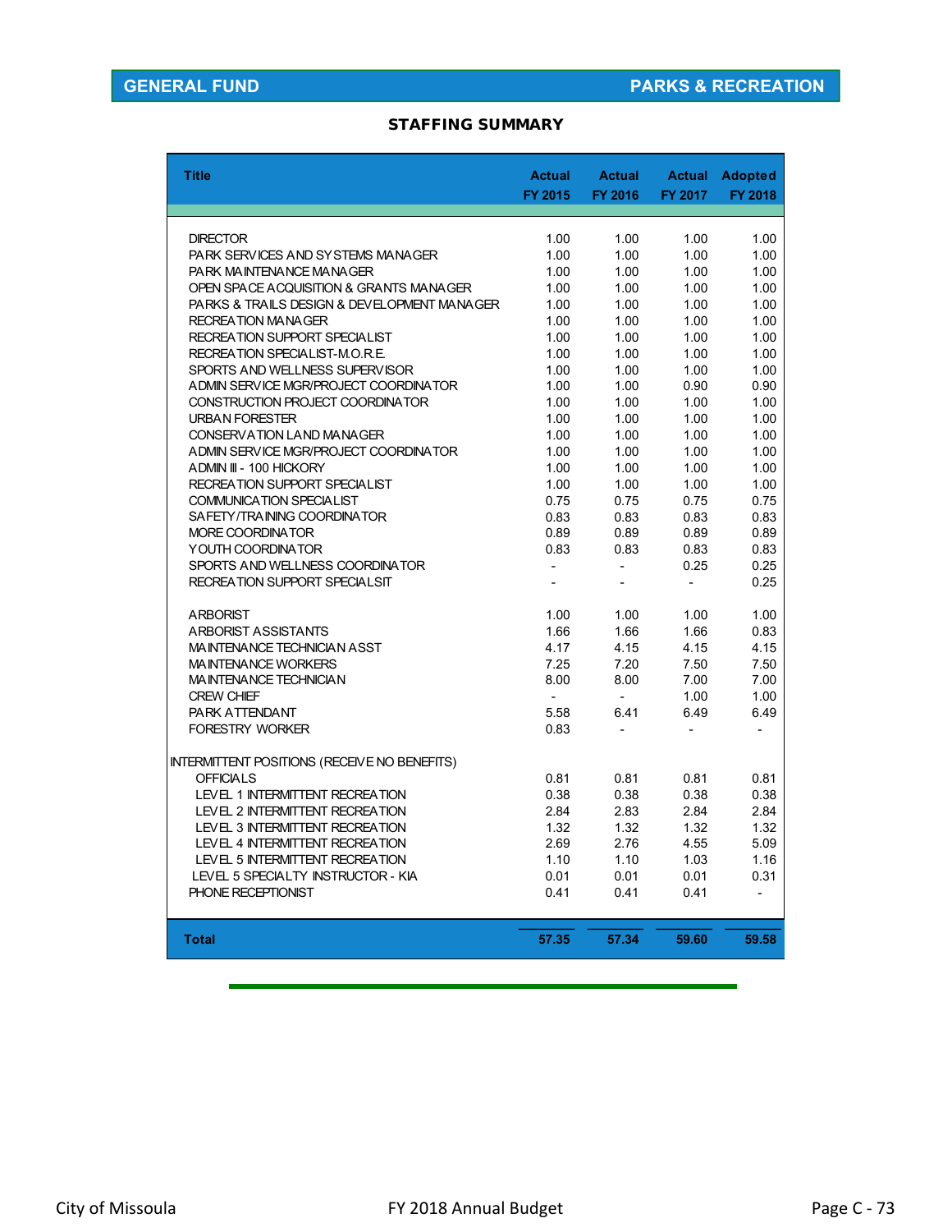### STAFFING SUMMARY

| <b>Title</b>                                        | <b>Actual</b><br>FY 2015 | <b>Actual</b><br>FY 2016 | FY 2017        | <b>Actual Adopted</b><br>FY 2018 |
|-----------------------------------------------------|--------------------------|--------------------------|----------------|----------------------------------|
|                                                     |                          |                          |                |                                  |
| <b>DIRECTOR</b>                                     | 1.00                     | 1.00                     | 1.00           | 1.00                             |
| PARK SERVICES AND SYSTEMS MANAGER                   | 1.00                     | 1.00                     | 1.00           | 1.00                             |
| PARK MAINTENANCE MANAGER                            | 1.00                     | 1.00                     | 1.00           | 1.00                             |
| OPEN SPACE ACQUISITION & GRANTS MANAGER             | 1.00                     | 1.00                     | 1.00           | 1.00                             |
| PARKS & TRAILS DESIGN & DEVELOPMENT MANAGER         | 1.00                     | 1.00                     | 1.00           | 1.00                             |
| <b>RECREATION MANAGER</b>                           | 1.00                     | 1.00                     | 1.00           | 1.00                             |
| RECREATION SUPPORT SPECIALIST                       | 1.00                     | 1.00                     | 1.00           | 1.00                             |
| RECREATION SPECIALIST-M.O.R.E.                      | 1.00                     | 1.00                     | 1.00           | 1.00                             |
| SPORTS AND WELLNESS SUPERVISOR                      | 1.00                     | 1.00                     | 1.00           | 1.00                             |
| ADMIN SERVICE MGR/PROJECT COORDINATOR               | 1.00                     | 1.00                     | 0.90           | 0.90                             |
| CONSTRUCTION PROJECT COORDINATOR                    | 1.00                     | 1.00                     | 1.00           | 1.00                             |
| <b>URBAN FORESTER</b>                               | 1.00                     | 1.00                     | 1.00           | 1.00                             |
| CONSERVATION LAND MANAGER                           | 1.00                     | 1.00                     | 1.00           | 1.00                             |
| ADMIN SERVICE MGR/PROJECT COORDINATOR               | 1.00                     | 1.00                     | 1.00           | 1.00                             |
| ADMIN III - 100 HICKORY                             | 1.00                     | 1.00                     | 1.00           | 1.00                             |
| <b>RECREATION SUPPORT SPECIALIST</b>                | 1.00                     | 1.00                     | 1.00           | 1.00                             |
| <b>COMMUNICATION SPECIALIST</b>                     | 0.75                     | 0.75                     | 0.75           | 0.75                             |
| SAFETY/TRAINING COORDINATOR                         | 0.83                     | 0.83                     | 0.83           | 0.83                             |
| MORE COORDINATOR                                    | 0.89                     | 0.89                     | 0.89           | 0.89                             |
| YOUTH COORDINATOR                                   | 0.83                     | 0.83                     | 0.83           | 0.83                             |
| SPORTS AND WELLNESS COORDINATOR                     |                          | $\overline{a}$           | 0.25           | 0.25                             |
| <b>RECREATION SUPPORT SPECIALSIT</b>                | $\overline{a}$           | $\overline{a}$           | $\overline{a}$ | 0.25                             |
|                                                     |                          |                          |                |                                  |
| <b>ARBORIST</b>                                     | 1.00                     | 1.00                     | 1.00           | 1.00                             |
| ARBORIST ASSISTANTS                                 | 1.66                     | 1.66                     | 1.66           | 0.83                             |
| MAINTENANCE TECHNICIAN ASST                         | 4.17                     | 4.15                     | 4.15           | 4.15                             |
| <b>MAINTENANCE WORKERS</b>                          | 7.25                     | 7.20                     | 7.50           | 7.50                             |
| MAINTENANCE TECHNICIAN                              | 8.00                     | 8.00                     | 7.00           | 7.00                             |
| <b>CREW CHIEF</b>                                   | $\blacksquare$           | $\overline{a}$           | 1.00           | 1.00                             |
| PARK ATTENDANT                                      | 5.58                     | 6.41                     | 6.49           | 6.49                             |
| <b>FORESTRY WORKER</b>                              | 0.83                     |                          |                |                                  |
| <b>INTERMITTENT POSITIONS (RECEIVE NO BENEFITS)</b> |                          |                          |                |                                  |
| <b>OFFICIALS</b>                                    | 0.81                     | 0.81                     | 0.81           | 0.81                             |
| LEVEL 1 INTERMITTENT RECREATION                     | 0.38                     | 0.38                     | 0.38           | 0.38                             |
| LEVEL 2 INTERMITTENT RECREATION                     | 2.84                     | 2.83                     | 2.84           | 2.84                             |
| LEVEL 3 INTERMITTENT RECREATION                     | 1.32                     | 1.32                     | 1.32           | 1.32                             |
| LEVEL 4 INTERMITTENT RECREATION                     | 2.69                     | 2.76                     | 4.55           | 5.09                             |
| LEVEL 5 INTERMITTENT RECREATION                     | 1.10                     | 1.10                     | 1.03           | 1.16                             |
| LEVEL 5 SPECIALTY INSTRUCTOR - KIA                  | 0.01                     | 0.01                     | 0.01           | 0.31                             |
| PHONE RECEPTIONIST                                  | 0.41                     | 0.41                     | 0.41           | $\overline{\phantom{a}}$         |
|                                                     |                          |                          |                |                                  |
|                                                     |                          |                          |                |                                  |
| <b>Total</b>                                        | 57.35                    | 57.34                    | 59.60          | 59.58                            |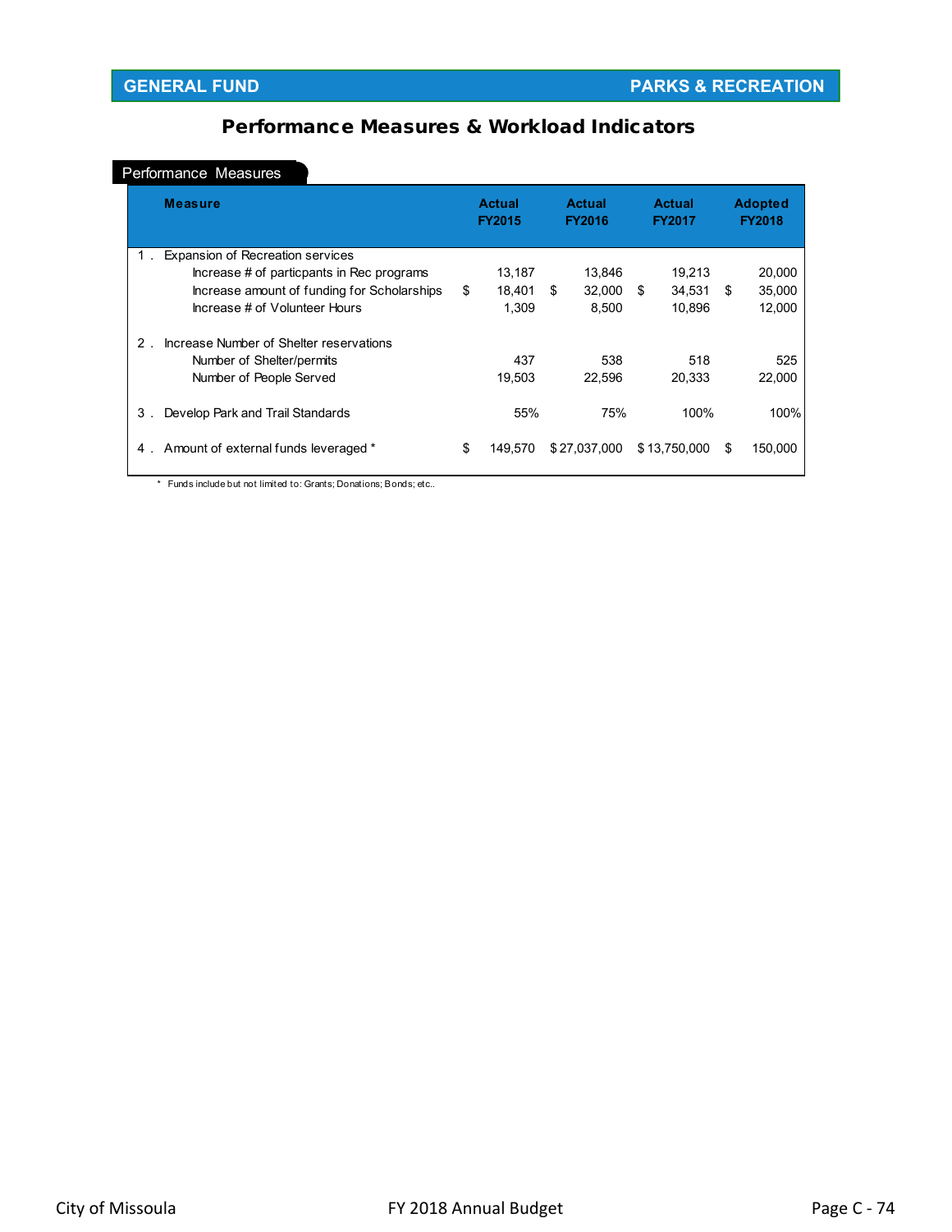# Performance Measures & Workload Indicators

### Performance Measures

|                | <b>Measure</b>                              | <b>Actual</b><br><b>FY2015</b> |         | <b>Actual</b><br><b>FY2016</b> |              |    | <b>Actual</b><br><b>FY2017</b> |    | <b>Adopted</b><br><b>FY2018</b> |  |
|----------------|---------------------------------------------|--------------------------------|---------|--------------------------------|--------------|----|--------------------------------|----|---------------------------------|--|
| 1.             | <b>Expansion of Recreation services</b>     |                                |         |                                |              |    |                                |    |                                 |  |
|                | Increase # of particpants in Rec programs   |                                | 13,187  |                                | 13,846       |    | 19,213                         |    | 20,000                          |  |
|                | Increase amount of funding for Scholarships | \$                             | 18.401  | \$                             | 32,000       | \$ | 34.531                         | -S | 35,000                          |  |
|                | Increase # of Volunteer Hours               |                                | 1.309   |                                | 8.500        |    | 10.896                         |    | 12.000                          |  |
| $\overline{2}$ | Increase Number of Shelter reservations     |                                |         |                                |              |    |                                |    |                                 |  |
|                | Number of Shelter/permits                   |                                | 437     |                                | 538          |    | 518                            |    | 525                             |  |
|                | Number of People Served                     |                                | 19.503  |                                | 22,596       |    | 20.333                         |    | 22.000                          |  |
| 3.             | Develop Park and Trail Standards            |                                | 55%     |                                | 75%          |    | 100%                           |    | 100%                            |  |
| 4.             | Amount of external funds leveraged *        | \$                             | 149.570 |                                | \$27,037,000 |    | \$13,750,000                   | S  | 150,000                         |  |

\* Funds include but not limited to: Grants; Donations; Bonds; etc..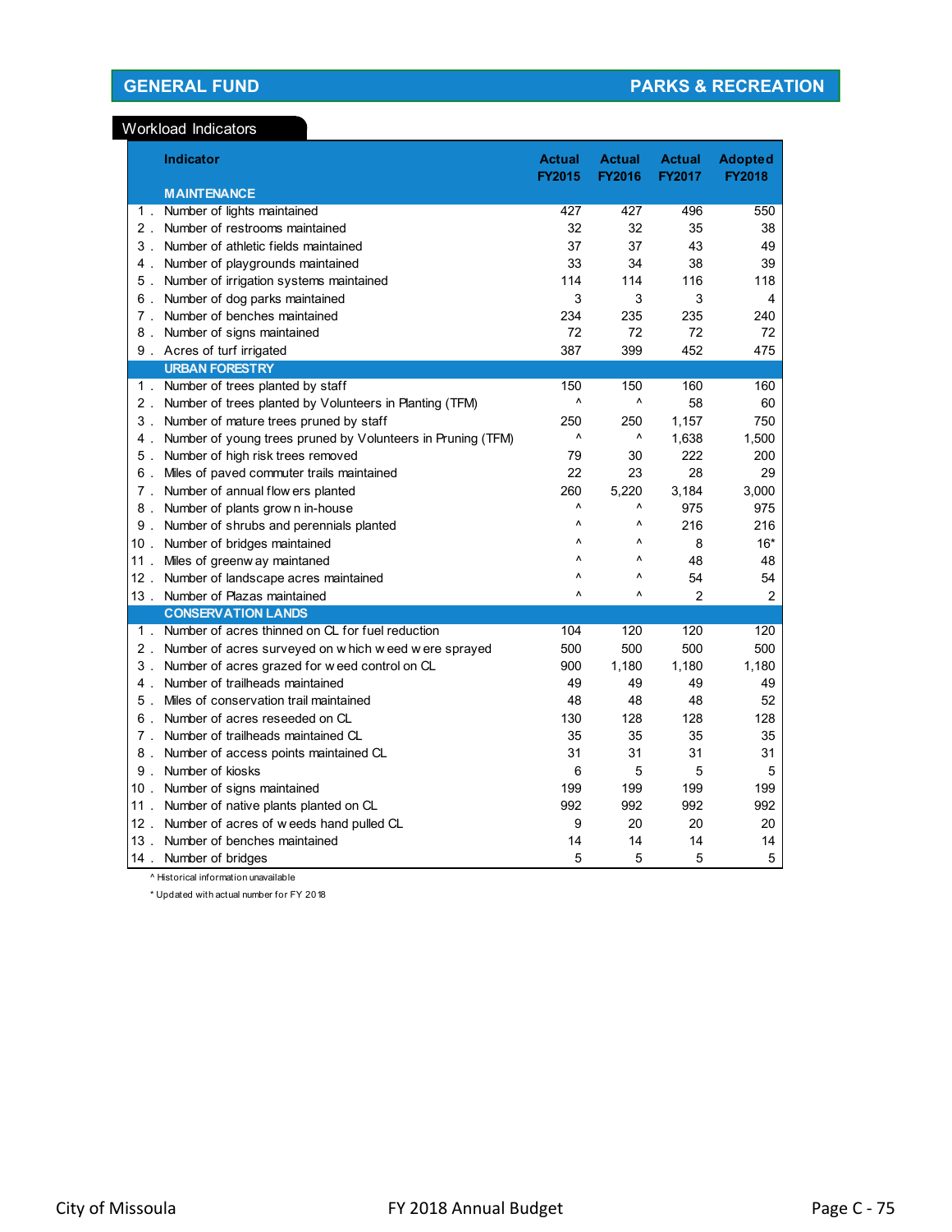### Workload Indicators

|                | Indicator                                                   | <b>Actual</b><br><b>FY2015</b> | <b>Actual</b><br><b>FY2016</b> | <b>Actual</b><br><b>FY2017</b> | <b>Adopted</b><br><b>FY2018</b> |
|----------------|-------------------------------------------------------------|--------------------------------|--------------------------------|--------------------------------|---------------------------------|
|                | <b>MAINTENANCE</b>                                          |                                |                                |                                |                                 |
| $1$ .          | Number of lights maintained                                 | 427                            | 427                            | 496                            | 550                             |
| $2$ .          | Number of restrooms maintained                              | 32                             | 32                             | 35                             | 38                              |
| 3 <sup>1</sup> | Number of athletic fields maintained                        | 37                             | 37                             | 43                             | 49                              |
| 4.             | Number of playgrounds maintained                            | 33                             | 34                             | 38                             | 39                              |
| 5.             | Number of irrigation systems maintained                     | 114                            | 114                            | 116                            | 118                             |
| 6.             | Number of dog parks maintained                              | 3                              | 3                              | 3                              | 4                               |
| $7$ .          | Number of benches maintained                                | 234                            | 235                            | 235                            | 240                             |
| 8.             | Number of signs maintained                                  | 72                             | 72                             | 72                             | 72                              |
|                | 9. Acres of turf irrigated                                  | 387                            | 399                            | 452                            | 475                             |
|                | <b>URBAN FORESTRY</b>                                       |                                |                                |                                |                                 |
|                | 1. Number of trees planted by staff                         | 150                            | 150                            | 160                            | 160                             |
| $2$ .          | Number of trees planted by Volunteers in Planting (TFM)     | ٨                              | ٨                              | 58                             | 60                              |
| 3.             | Number of mature trees pruned by staff                      | 250                            | 250                            | 1,157                          | 750                             |
| 4.             | Number of young trees pruned by Volunteers in Pruning (TFM) | $\boldsymbol{\wedge}$          | ٨                              | 1,638                          | 1,500                           |
| 5.             | Number of high risk trees removed                           | 79                             | 30                             | 222                            | 200                             |
| 6.             | Miles of paved commuter trails maintained                   | 22                             | 23                             | 28                             | 29                              |
| $7$ .          | Number of annual flow ers planted                           | 260                            | 5,220                          | 3,184                          | 3,000                           |
| 8.             | Number of plants grow n in-house                            | Λ                              | ٨                              | 975                            | 975                             |
| 9.             | Number of shrubs and perennials planted                     | Λ                              | Λ                              | 216                            | 216                             |
| 10.            | Number of bridges maintained                                | Λ                              | Λ                              | 8                              | $16*$                           |
| $11$ .         | Miles of greenw ay maintaned                                | $\boldsymbol{\wedge}$          | ν                              | 48                             | 48                              |
| $12$ .         | Number of landscape acres maintained                        | Λ                              | ٨                              | 54                             | 54                              |
| $13$ .         | Number of Plazas maintained                                 | ٨                              | ٨                              | $\overline{2}$                 | $\overline{2}$                  |
|                | <b>CONSERVATION LANDS</b>                                   |                                |                                |                                |                                 |
| 1 <sup>1</sup> | Number of acres thinned on CL for fuel reduction            | 104                            | 120                            | 120                            | 120                             |
| $2$ .          | Number of acres surveyed on w hich w eed w ere sprayed      | 500                            | 500                            | 500                            | 500                             |
| 3 <sub>1</sub> | Number of acres grazed for weed control on CL               | 900                            | 1,180                          | 1,180                          | 1,180                           |
| 4 <sup>1</sup> | Number of trailheads maintained                             | 49                             | 49                             | 49                             | 49                              |
| 5.             | Miles of conservation trail maintained                      | 48                             | 48                             | 48                             | 52                              |
| 6.             | Number of acres reseeded on CL                              | 130                            | 128<br>35                      | 128                            | 128                             |
| 7.             | Number of trailheads maintained CL                          | 35<br>31                       | 31                             | 35<br>31                       | 35<br>31                        |
| 8.<br>9.       | Number of access points maintained CL<br>Number of kiosks   | 6                              | 5                              | 5                              | 5                               |
| 10.            | Number of signs maintained                                  | 199                            | 199                            | 199                            | 199                             |
| $11$ .         | Number of native plants planted on CL                       | 992                            | 992                            | 992                            | 992                             |
| $12$ .         | Number of acres of weeds hand pulled CL                     | 9                              | 20                             | 20                             | 20                              |
| $13$ .         | Number of benches maintained                                | 14                             | 14                             | 14                             | 14                              |
| 14.            | Number of bridges                                           | 5                              | 5                              | 5                              | 5                               |
|                |                                                             |                                |                                |                                |                                 |

^ Historical information unavailable

\* Updated with actual number for FY 2018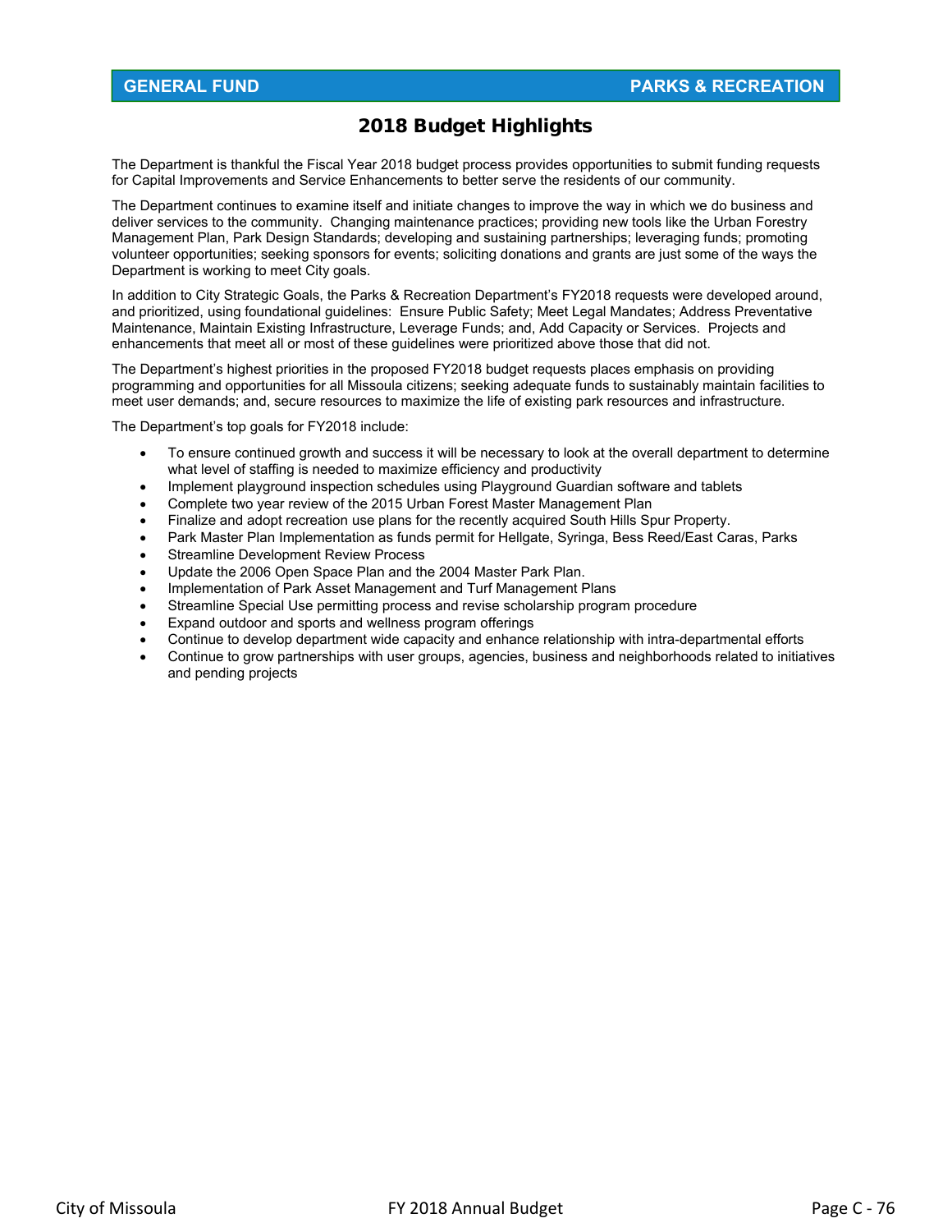# 2018 Budget Highlights

The Department is thankful the Fiscal Year 2018 budget process provides opportunities to submit funding requests for Capital Improvements and Service Enhancements to better serve the residents of our community.

The Department continues to examine itself and initiate changes to improve the way in which we do business and deliver services to the community. Changing maintenance practices; providing new tools like the Urban Forestry Management Plan, Park Design Standards; developing and sustaining partnerships; leveraging funds; promoting volunteer opportunities; seeking sponsors for events; soliciting donations and grants are just some of the ways the Department is working to meet City goals.

In addition to City Strategic Goals, the Parks & Recreation Department's FY2018 requests were developed around, and prioritized, using foundational guidelines: Ensure Public Safety; Meet Legal Mandates; Address Preventative Maintenance, Maintain Existing Infrastructure, Leverage Funds; and, Add Capacity or Services. Projects and enhancements that meet all or most of these guidelines were prioritized above those that did not.

The Department's highest priorities in the proposed FY2018 budget requests places emphasis on providing programming and opportunities for all Missoula citizens; seeking adequate funds to sustainably maintain facilities to meet user demands; and, secure resources to maximize the life of existing park resources and infrastructure.

The Department's top goals for FY2018 include:

- To ensure continued growth and success it will be necessary to look at the overall department to determine what level of staffing is needed to maximize efficiency and productivity
- Implement playground inspection schedules using Playground Guardian software and tablets
- Complete two year review of the 2015 Urban Forest Master Management Plan
- Finalize and adopt recreation use plans for the recently acquired South Hills Spur Property.
- Park Master Plan Implementation as funds permit for Hellgate, Syringa, Bess Reed/East Caras, Parks
- Streamline Development Review Process
- Update the 2006 Open Space Plan and the 2004 Master Park Plan.
- Implementation of Park Asset Management and Turf Management Plans
- Streamline Special Use permitting process and revise scholarship program procedure
- Expand outdoor and sports and wellness program offerings
- Continue to develop department wide capacity and enhance relationship with intra-departmental efforts
- Continue to grow partnerships with user groups, agencies, business and neighborhoods related to initiatives and pending projects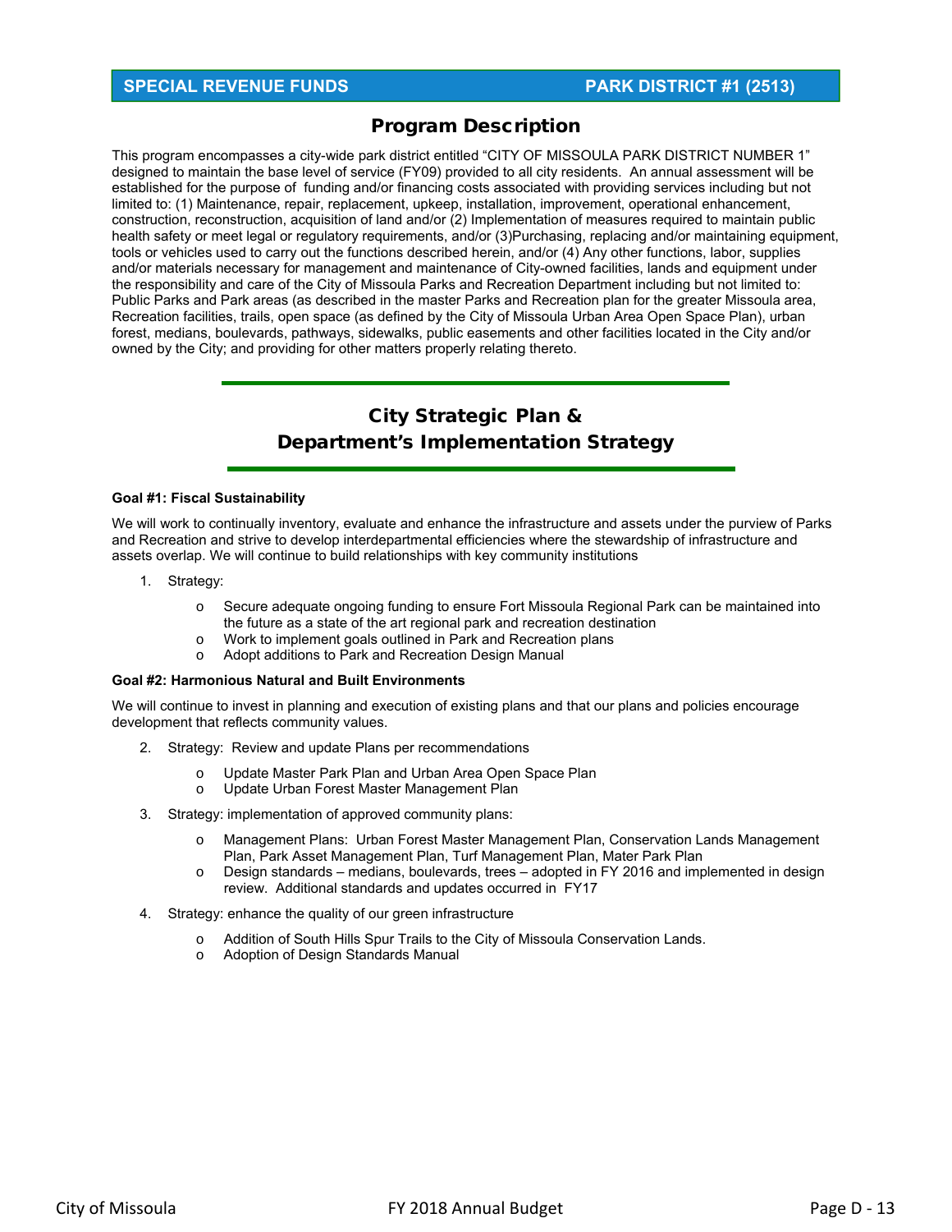# **SPECIAL REVENUE FUNDS PARK DISTRICT #1 (2513)**

# Program Description

This program encompasses a city-wide park district entitled "CITY OF MISSOULA PARK DISTRICT NUMBER 1" designed to maintain the base level of service (FY09) provided to all city residents. An annual assessment will be established for the purpose of funding and/or financing costs associated with providing services including but not limited to: (1) Maintenance, repair, replacement, upkeep, installation, improvement, operational enhancement, construction, reconstruction, acquisition of land and/or (2) Implementation of measures required to maintain public health safety or meet legal or regulatory requirements, and/or (3)Purchasing, replacing and/or maintaining equipment, tools or vehicles used to carry out the functions described herein, and/or (4) Any other functions, labor, supplies and/or materials necessary for management and maintenance of City-owned facilities, lands and equipment under the responsibility and care of the City of Missoula Parks and Recreation Department including but not limited to: Public Parks and Park areas (as described in the master Parks and Recreation plan for the greater Missoula area, Recreation facilities, trails, open space (as defined by the City of Missoula Urban Area Open Space Plan), urban forest, medians, boulevards, pathways, sidewalks, public easements and other facilities located in the City and/or owned by the City; and providing for other matters properly relating thereto.

# City Strategic Plan & Department's Implementation Strategy

#### **Goal #1: Fiscal Sustainability**

We will work to continually inventory, evaluate and enhance the infrastructure and assets under the purview of Parks and Recreation and strive to develop interdepartmental efficiencies where the stewardship of infrastructure and assets overlap. We will continue to build relationships with key community institutions

- 1. Strategy:
	- o Secure adequate ongoing funding to ensure Fort Missoula Regional Park can be maintained into the future as a state of the art regional park and recreation destination
	- o Work to implement goals outlined in Park and Recreation plans
	- o Adopt additions to Park and Recreation Design Manual

#### **Goal #2: Harmonious Natural and Built Environments**

We will continue to invest in planning and execution of existing plans and that our plans and policies encourage development that reflects community values.

- 2. Strategy: Review and update Plans per recommendations
	- o Update Master Park Plan and Urban Area Open Space Plan
	- o Update Urban Forest Master Management Plan
- 3. Strategy: implementation of approved community plans:
	- o Management Plans: Urban Forest Master Management Plan, Conservation Lands Management Plan, Park Asset Management Plan, Turf Management Plan, Mater Park Plan
	- $\circ$  Design standards medians, boulevards, trees adopted in FY 2016 and implemented in design review. Additional standards and updates occurred in FY17
- 4. Strategy: enhance the quality of our green infrastructure
	- o Addition of South Hills Spur Trails to the City of Missoula Conservation Lands.
	- o Adoption of Design Standards Manual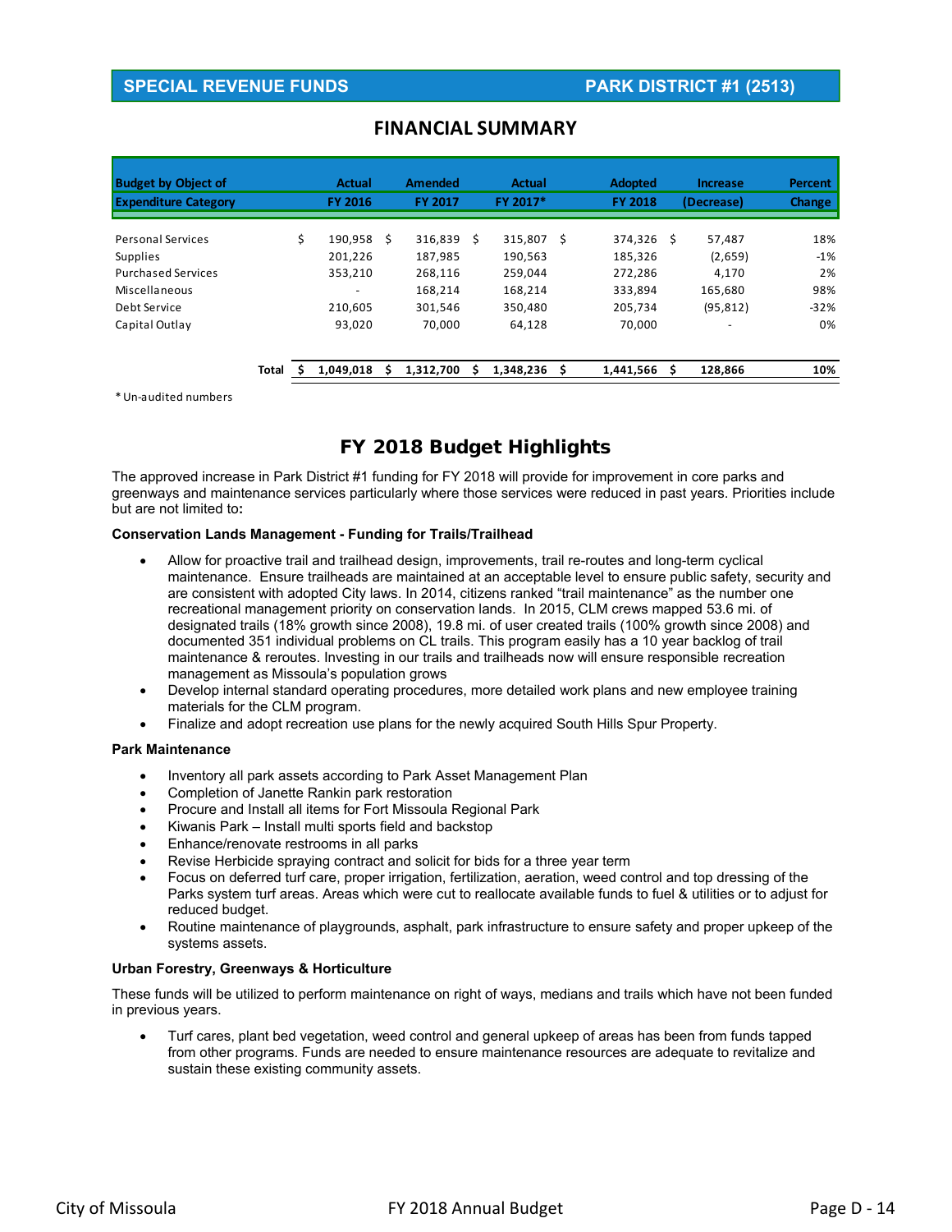# **SPECIAL REVENUE FUNDS PARK DISTRICT #1 (2513)**

| <b>Budget by Object of</b>  |       | <b>Actual</b>  |   | <b>Amended</b> |   | Actual    |    | <b>Adopted</b> |   | <b>Increase</b> | Percent       |
|-----------------------------|-------|----------------|---|----------------|---|-----------|----|----------------|---|-----------------|---------------|
| <b>Expenditure Category</b> |       | <b>FY 2016</b> |   | <b>FY 2017</b> |   | FY 2017*  |    | <b>FY 2018</b> |   | (Decrease)      | <b>Change</b> |
| <b>Personal Services</b>    |       | \$<br>190.958  | Ŝ | 316,839        | Ŝ | 315,807   | Ś. | 374,326        | Ŝ | 57,487          | 18%           |
| <b>Supplies</b>             |       | 201.226        |   | 187,985        |   | 190,563   |    | 185,326        |   | (2,659)         | $-1\%$        |
| <b>Purchased Services</b>   |       | 353,210        |   | 268.116        |   | 259,044   |    | 272,286        |   | 4.170           | 2%            |
| Miscellaneous               |       |                |   | 168.214        |   | 168,214   |    | 333,894        |   | 165,680         | 98%           |
| Debt Service                |       | 210,605        |   | 301,546        |   | 350,480   |    | 205,734        |   | (95, 812)       | $-32%$        |
| Capital Outlay              |       | 93,020         |   | 70,000         |   | 64,128    |    | 70,000         |   | ٠               | 0%            |
|                             | Total | 1,049,018      |   | 1,312,700      |   | 1,348,236 | s  | 1,441,566      | ς | 128,866         | 10%           |

# **FINANCIAL SUMMARY**

\*Un‐audited numbers

# FY 2018 Budget Highlights

The approved increase in Park District #1 funding for FY 2018 will provide for improvement in core parks and greenways and maintenance services particularly where those services were reduced in past years. Priorities include but are not limited to**:** 

#### **Conservation Lands Management - Funding for Trails/Trailhead**

- Allow for proactive trail and trailhead design, improvements, trail re-routes and long-term cyclical maintenance. Ensure trailheads are maintained at an acceptable level to ensure public safety, security and are consistent with adopted City laws. In 2014, citizens ranked "trail maintenance" as the number one recreational management priority on conservation lands. In 2015, CLM crews mapped 53.6 mi. of designated trails (18% growth since 2008), 19.8 mi. of user created trails (100% growth since 2008) and documented 351 individual problems on CL trails. This program easily has a 10 year backlog of trail maintenance & reroutes. Investing in our trails and trailheads now will ensure responsible recreation management as Missoula's population grows
- Develop internal standard operating procedures, more detailed work plans and new employee training materials for the CLM program.
- Finalize and adopt recreation use plans for the newly acquired South Hills Spur Property.

#### **Park Maintenance**

- Inventory all park assets according to Park Asset Management Plan
- Completion of Janette Rankin park restoration
- Procure and Install all items for Fort Missoula Regional Park
- Kiwanis Park Install multi sports field and backstop
- Enhance/renovate restrooms in all parks
- Revise Herbicide spraying contract and solicit for bids for a three year term
- Focus on deferred turf care, proper irrigation, fertilization, aeration, weed control and top dressing of the Parks system turf areas. Areas which were cut to reallocate available funds to fuel & utilities or to adjust for reduced budget.
- Routine maintenance of playgrounds, asphalt, park infrastructure to ensure safety and proper upkeep of the systems assets.

#### **Urban Forestry, Greenways & Horticulture**

These funds will be utilized to perform maintenance on right of ways, medians and trails which have not been funded in previous years.

 Turf cares, plant bed vegetation, weed control and general upkeep of areas has been from funds tapped from other programs. Funds are needed to ensure maintenance resources are adequate to revitalize and sustain these existing community assets.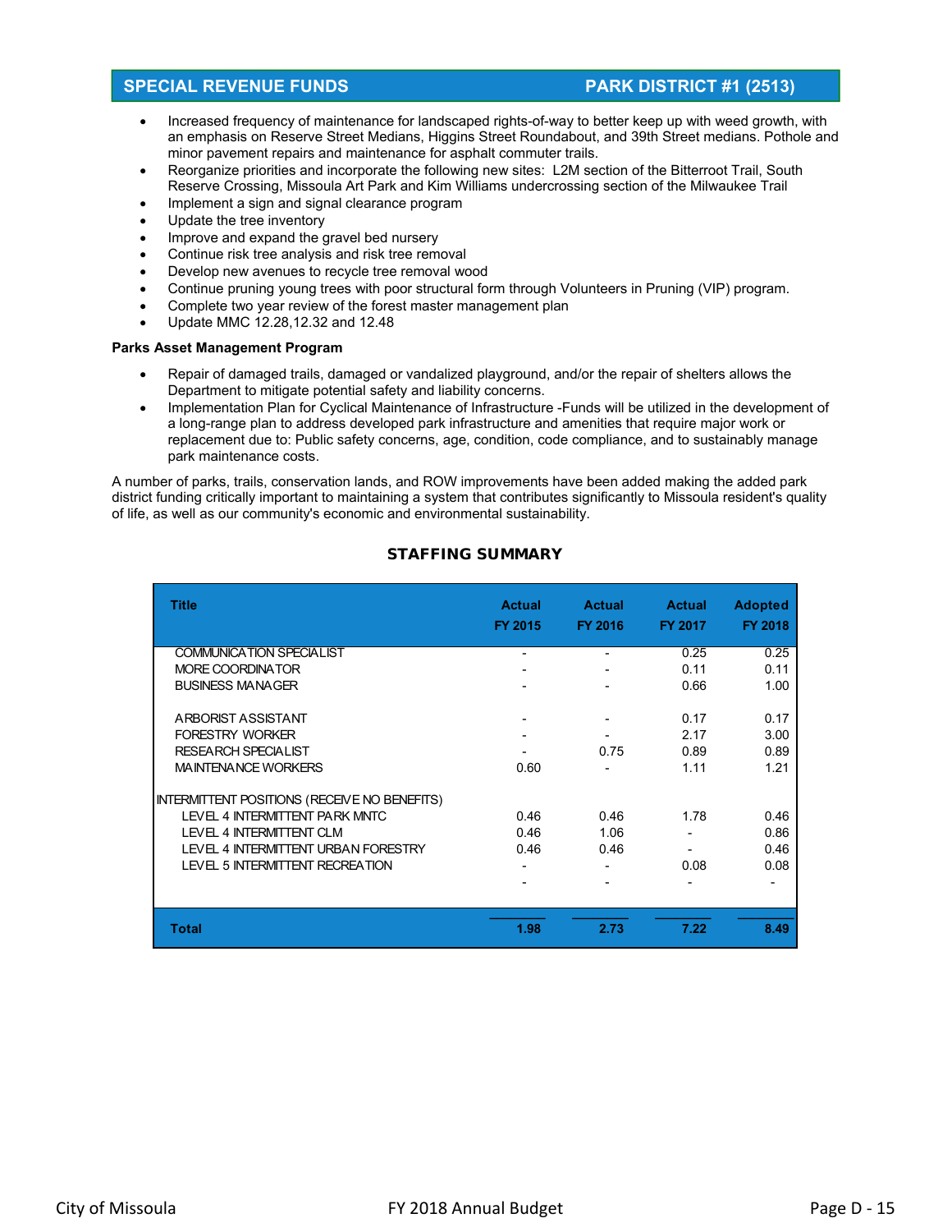## **SPECIAL REVENUE FUNDS PARK DISTRICT #1 (2513)**

- Increased frequency of maintenance for landscaped rights-of-way to better keep up with weed growth, with an emphasis on Reserve Street Medians, Higgins Street Roundabout, and 39th Street medians. Pothole and minor pavement repairs and maintenance for asphalt commuter trails.
- Reorganize priorities and incorporate the following new sites: L2M section of the Bitterroot Trail, South Reserve Crossing, Missoula Art Park and Kim Williams undercrossing section of the Milwaukee Trail
- Implement a sign and signal clearance program
- Update the tree inventory
- Improve and expand the gravel bed nursery
- Continue risk tree analysis and risk tree removal
- Develop new avenues to recycle tree removal wood
- Continue pruning young trees with poor structural form through Volunteers in Pruning (VIP) program.
- Complete two year review of the forest master management plan
- Update MMC 12.28,12.32 and 12.48

#### **Parks Asset Management Program**

- Repair of damaged trails, damaged or vandalized playground, and/or the repair of shelters allows the Department to mitigate potential safety and liability concerns.
- Implementation Plan for Cyclical Maintenance of Infrastructure -Funds will be utilized in the development of a long-range plan to address developed park infrastructure and amenities that require major work or replacement due to: Public safety concerns, age, condition, code compliance, and to sustainably manage park maintenance costs.

A number of parks, trails, conservation lands, and ROW improvements have been added making the added park district funding critically important to maintaining a system that contributes significantly to Missoula resident's quality of life, as well as our community's economic and environmental sustainability.

| <b>Title</b>                                        | <b>Actual</b><br>FY 2015 | <b>Actual</b><br>FY 2016 | <b>Actual</b><br>FY 2017 | <b>Adopted</b><br>FY 2018 |
|-----------------------------------------------------|--------------------------|--------------------------|--------------------------|---------------------------|
| <b>COMMUNICATION SPECIALIST</b>                     | $\overline{\phantom{0}}$ |                          | 0.25                     | 0.25                      |
| MORE COORDINATOR                                    |                          |                          | 0.11                     | 0.11                      |
| <b>BUSINESS MANAGER</b>                             |                          |                          | 0.66                     | 1.00                      |
|                                                     |                          |                          |                          |                           |
| ARBORIST ASSISTANT                                  |                          |                          | 0.17                     | 0.17                      |
| <b>FORESTRY WORKER</b>                              |                          |                          | 2.17                     | 3.00                      |
| <b>RESEARCH SPECIALIST</b>                          |                          | 0.75                     | 0.89                     | 0.89                      |
| <b>MAINTENANCE WORKERS</b>                          | 0.60                     |                          | 1.11                     | 1.21                      |
| <b>INTERMITTENT POSITIONS (RECEIVE NO BENEFITS)</b> |                          |                          |                          |                           |
| LEVEL 4 INTERMITTENT PARK MNTC                      | 0.46                     | 0.46                     | 1.78                     | 0.46                      |
| LEVEL 4 INTERMITTENT CLM                            | 0.46                     | 1.06                     |                          | 0.86                      |
| <b>LEVEL 4 INTERMITTENT URBAN FORESTRY</b>          | 0.46                     | 0.46                     |                          | 0.46                      |
| <b>LEVEL 5 INTERMITTENT RECREATION</b>              |                          |                          | 0.08                     | 0.08                      |
|                                                     |                          |                          |                          |                           |
|                                                     |                          |                          |                          |                           |
| <b>Total</b>                                        | 1.98                     | 2.73                     | 7.22                     | 8.49                      |

#### STAFFING SUMMARY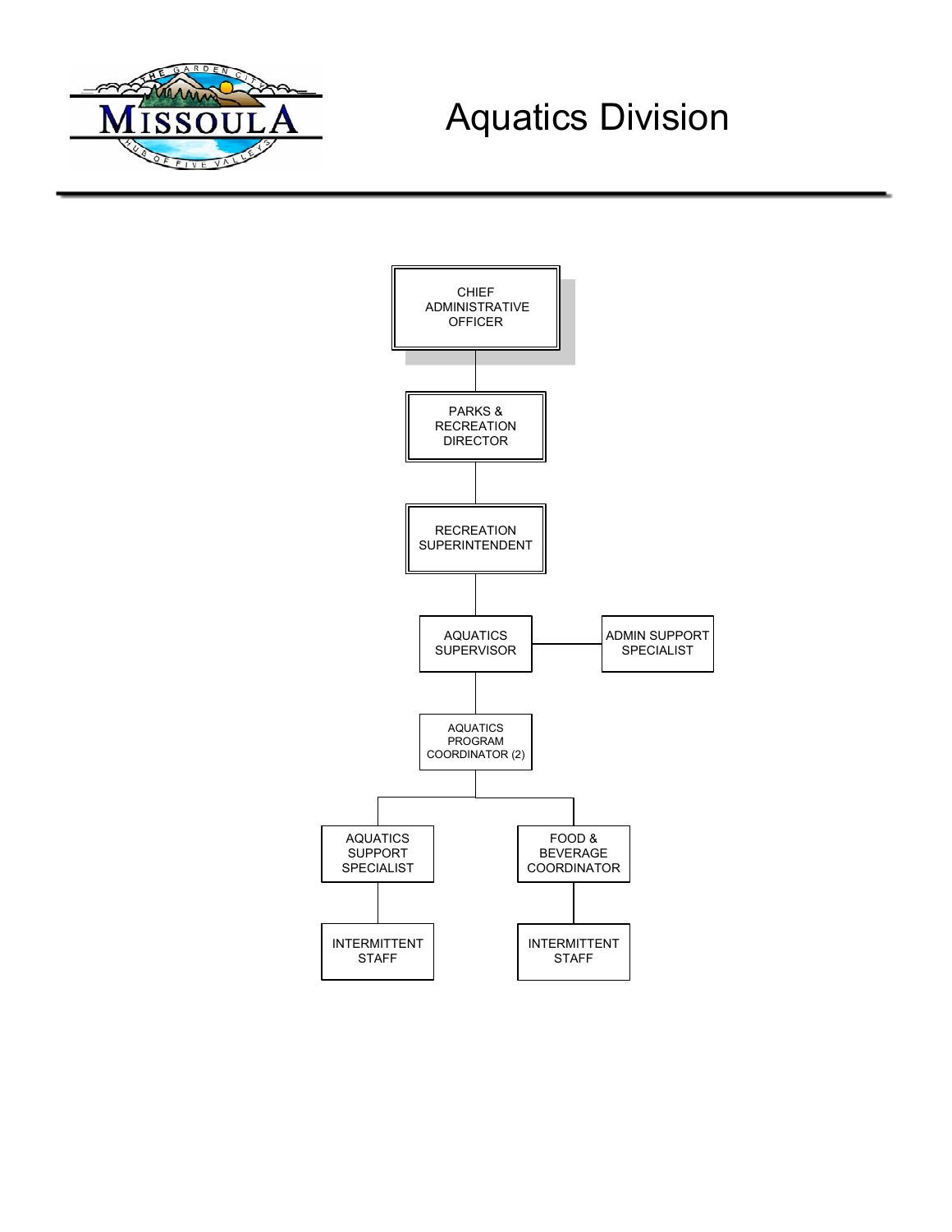

# Aquatics Division

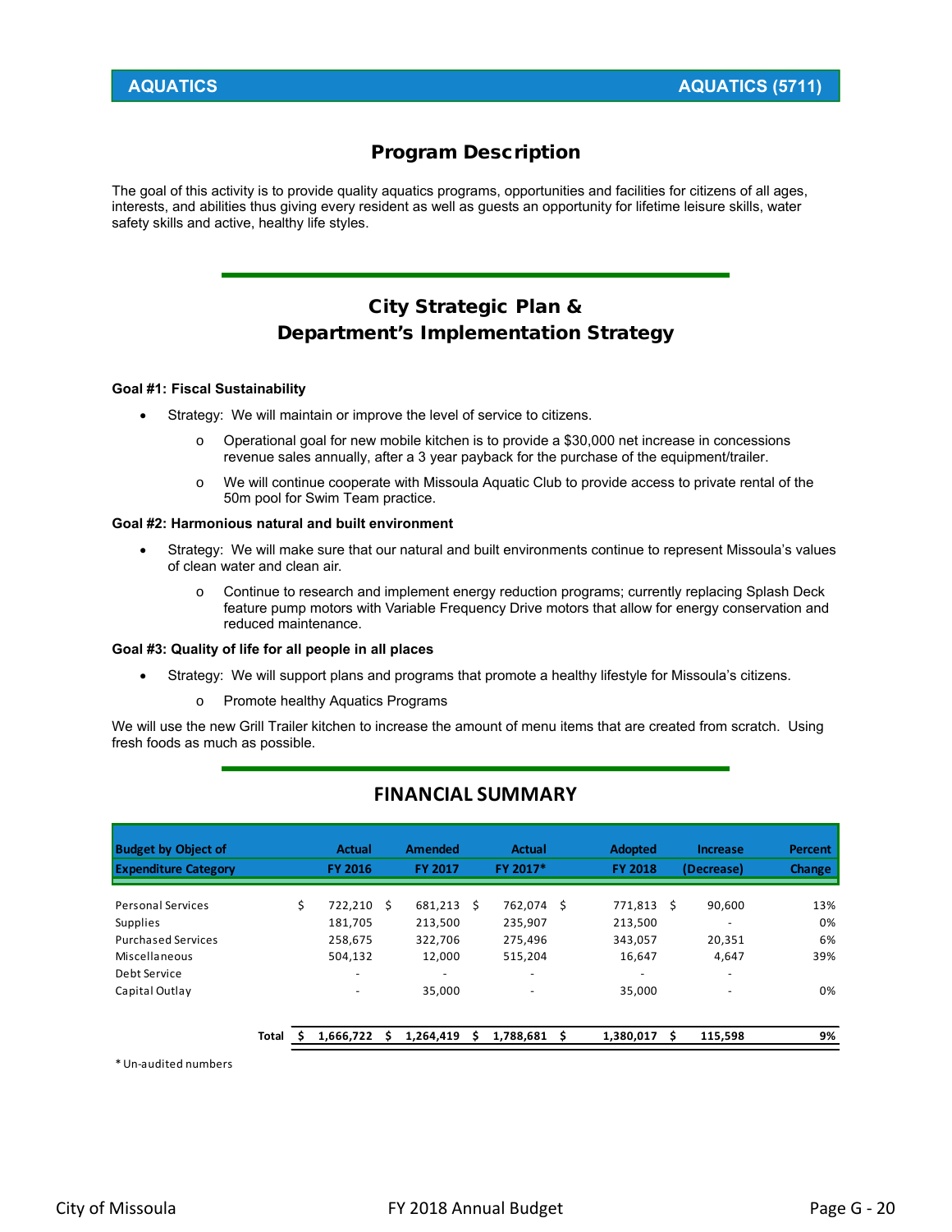# Program Description

The goal of this activity is to provide quality aquatics programs, opportunities and facilities for citizens of all ages, interests, and abilities thus giving every resident as well as guests an opportunity for lifetime leisure skills, water safety skills and active, healthy life styles.

# City Strategic Plan & Department's Implementation Strategy

#### **Goal #1: Fiscal Sustainability**

- Strategy: We will maintain or improve the level of service to citizens.
	- o Operational goal for new mobile kitchen is to provide a \$30,000 net increase in concessions revenue sales annually, after a 3 year payback for the purchase of the equipment/trailer.
	- o We will continue cooperate with Missoula Aquatic Club to provide access to private rental of the 50m pool for Swim Team practice.

#### **Goal #2: Harmonious natural and built environment**

- Strategy: We will make sure that our natural and built environments continue to represent Missoula's values of clean water and clean air.
	- o Continue to research and implement energy reduction programs; currently replacing Splash Deck feature pump motors with Variable Frequency Drive motors that allow for energy conservation and reduced maintenance.

#### **Goal #3: Quality of life for all people in all places**

- Strategy: We will support plans and programs that promote a healthy lifestyle for Missoula's citizens.
	- o Promote healthy Aquatics Programs

We will use the new Grill Trailer kitchen to increase the amount of menu items that are created from scratch. Using fresh foods as much as possible.

| <b>Budget by Object of</b>  |       | <b>Actual</b>  |   | <b>Amended</b> |   | <b>Actual</b>            | <b>Adopted</b> |   | <b>Increase</b> | Percent       |
|-----------------------------|-------|----------------|---|----------------|---|--------------------------|----------------|---|-----------------|---------------|
| <b>Expenditure Category</b> |       | <b>FY 2016</b> |   | <b>FY 2017</b> |   | FY 2017*                 | <b>FY 2018</b> |   | (Decrease)      | <b>Change</b> |
|                             |       |                |   |                |   |                          |                |   |                 |               |
| <b>Personal Services</b>    |       | \$<br>722.210  | Ŝ | 681,213        | Ŝ | 762.074 \$               | 771.813        | Ŝ | 90,600          | 13%           |
| <b>Supplies</b>             |       | 181,705        |   | 213,500        |   | 235,907                  | 213,500        |   |                 | 0%            |
| <b>Purchased Services</b>   |       | 258,675        |   | 322,706        |   | 275,496                  | 343,057        |   | 20,351          | 6%            |
| Miscellaneous               |       | 504,132        |   | 12.000         |   | 515,204                  | 16,647         |   | 4,647           | 39%           |
| Debt Service                |       |                |   | -              |   |                          | -              |   |                 |               |
| Capital Outlay              |       |                |   | 35.000         |   | $\overline{\phantom{m}}$ | 35,000         |   | -               | 0%            |
|                             |       |                |   |                |   |                          |                |   |                 |               |
|                             | Total | 1,666,722      |   | 1,264,419      | s | 1,788,681                | 1,380,017      |   | 115,598         | 9%            |

# **FINANCIAL SUMMARY**

\*Un‐audited numbers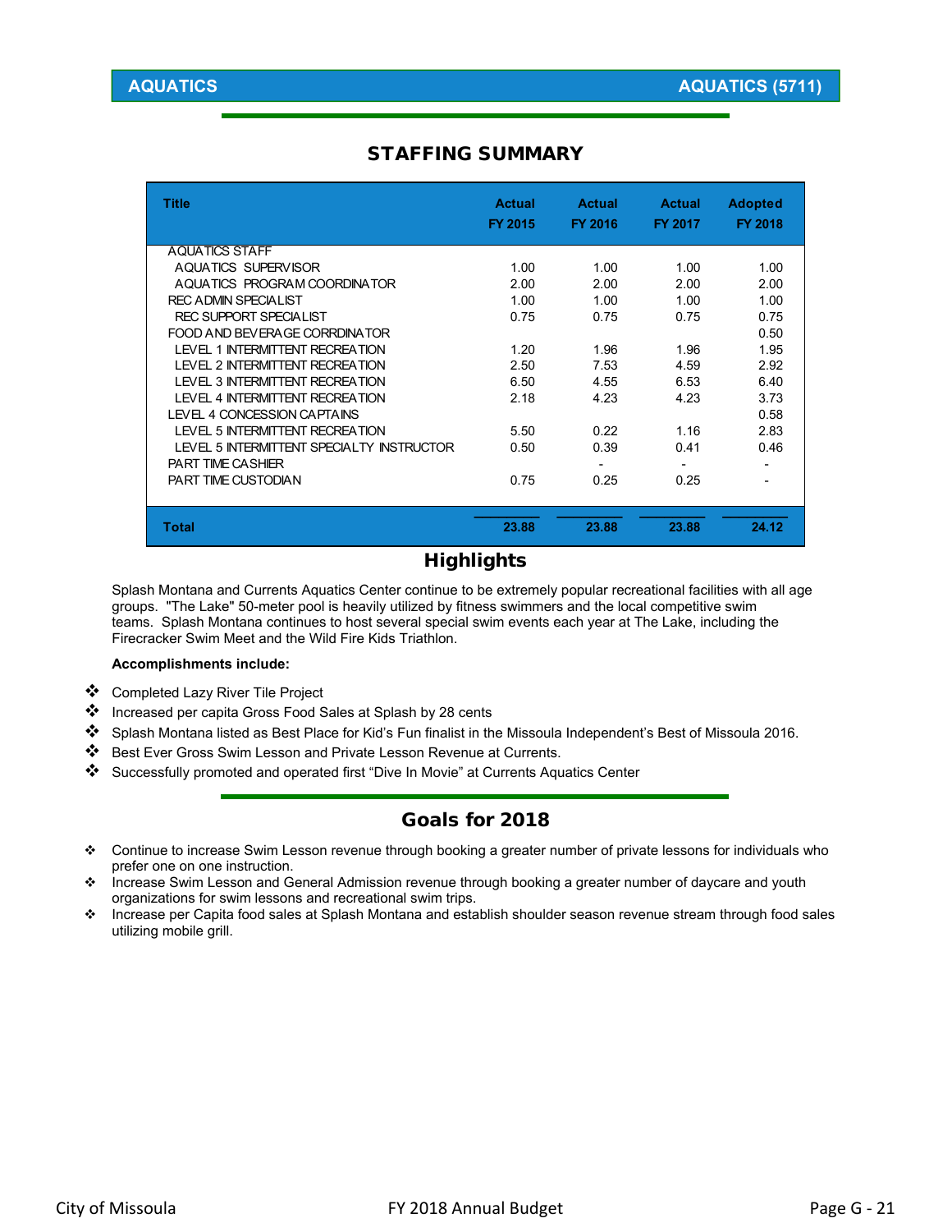# STAFFING SUMMARY

| <b>Title</b>                              | <b>Actual</b><br>FY 2015 | Actual<br>FY 2016 | <b>Actual</b><br>FY 2017 | <b>Adopted</b><br><b>FY 2018</b> |
|-------------------------------------------|--------------------------|-------------------|--------------------------|----------------------------------|
| <b>AQUATICS STAFF</b>                     |                          |                   |                          |                                  |
| AQUATICS SUPERVISOR                       | 1.00                     | 1.00              | 1.00                     | 1.00                             |
| AQUATICS PROGRAM COORDINATOR              | 2.00                     | 2.00              | 2.00                     | 2.00                             |
| <b>REC ADMIN SPECIALIST</b>               | 1.00                     | 1.00              | 1.00                     | 1.00                             |
| REC SUPPORT SPECIALIST                    | 0.75                     | 0.75              | 0.75                     | 0.75                             |
| FOOD AND BEVERAGE CORRDINATOR             |                          |                   |                          | 0.50                             |
| I FVFL 1 INTERMITTENT RECREATION          | 1.20                     | 1.96              | 1.96                     | 1.95                             |
| <b>I FVFI 2 INTERMITTENT RECREATION</b>   | 2.50                     | 7.53              | 4.59                     | 2.92                             |
| <b>I FVFL 3 INTERMITTENT RECREATION</b>   | 6.50                     | 4.55              | 6.53                     | 6.40                             |
| <b>LEVEL 4 INTERMITTENT RECREATION</b>    | 2.18                     | 4.23              | 4.23                     | 3.73                             |
| LEVEL 4 CONCESSION CAPTAINS               |                          |                   |                          | 0.58                             |
| <b>I FVFL 5 INTERMITTENT RECREATION</b>   | 5.50                     | 0.22              | 1.16                     | 2.83                             |
| LEVEL 5 INTERMITTENT SPECIALTY INSTRUCTOR | 0.50                     | 0.39              | 0.41                     | 0.46                             |
| <b>PART TIME CASHIER</b>                  |                          |                   |                          |                                  |
| PART TIME CUSTODIAN                       | 0.75                     | 0.25              | 0.25                     |                                  |
|                                           |                          |                   |                          |                                  |
| <b>Total</b>                              | 23.88                    | 23.88             | 23.88                    | 24.12                            |

# **Highlights**

Splash Montana and Currents Aquatics Center continue to be extremely popular recreational facilities with all age groups. "The Lake" 50-meter pool is heavily utilized by fitness swimmers and the local competitive swim teams. Splash Montana continues to host several special swim events each year at The Lake, including the Firecracker Swim Meet and the Wild Fire Kids Triathlon.

#### **Accomplishments include:**

- Completed Lazy River Tile Project
- ❖ Increased per capita Gross Food Sales at Splash by 28 cents
- Splash Montana listed as Best Place for Kid's Fun finalist in the Missoula Independent's Best of Missoula 2016.
- Best Ever Gross Swim Lesson and Private Lesson Revenue at Currents.
- Successfully promoted and operated first "Dive In Movie" at Currents Aquatics Center

# Goals for 2018

- Continue to increase Swim Lesson revenue through booking a greater number of private lessons for individuals who prefer one on one instruction.
- ❖ Increase Swim Lesson and General Admission revenue through booking a greater number of daycare and youth organizations for swim lessons and recreational swim trips.
- Increase per Capita food sales at Splash Montana and establish shoulder season revenue stream through food sales utilizing mobile grill.